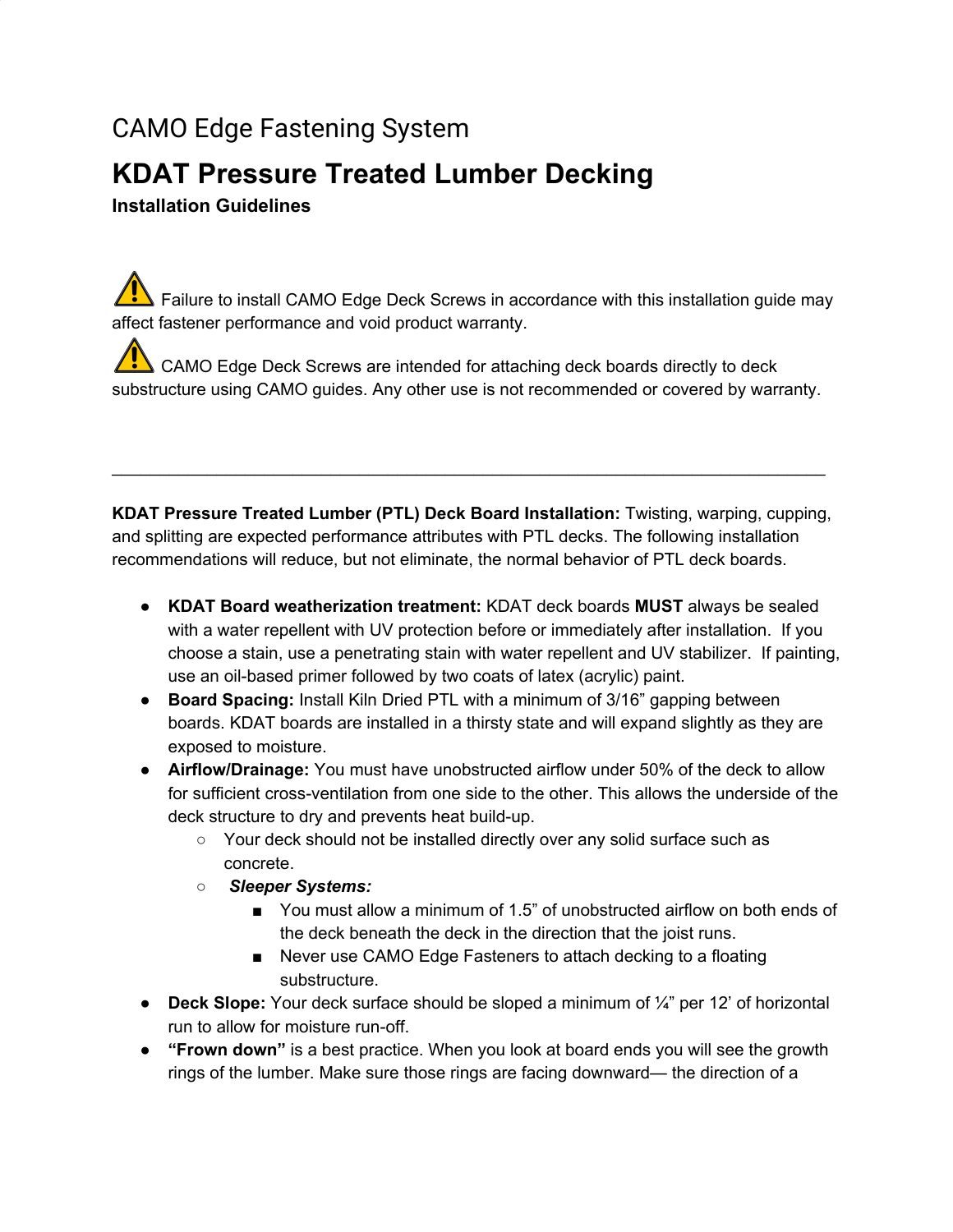# CAMO Edge Fastening System

## **KDAT Pressure Treated Lumber Decking**

### **Installation Guidelines**

 $\sqrt{\sqrt{N}}$  Failure to install CAMO Edge Deck Screws in accordance with this installation guide may affect fastener performance and void product warranty.

 $\sqrt{\sqrt{N}}$  CAMO Edge Deck Screws are intended for attaching deck boards directly to deck substructure using CAMO guides. Any other use is not recommended or covered by warranty.

**KDAT Pressure Treated Lumber (PTL) Deck Board Installation:** Twisting, warping, cupping, and splitting are expected performance attributes with PTL decks. The following installation recommendations will reduce, but not eliminate, the normal behavior of PTL deck boards.

\_\_\_\_\_\_\_\_\_\_\_\_\_\_\_\_\_\_\_\_\_\_\_\_\_\_\_\_\_\_\_\_\_\_\_\_\_\_\_\_\_\_\_\_\_\_\_\_\_\_\_\_\_\_\_\_\_\_\_\_\_\_\_\_\_\_\_\_\_\_\_\_\_\_\_

- **KDAT Board weatherization treatment:** KDAT deck boards **MUST** always be sealed with a water repellent with UV protection before or immediately after installation. If you choose a stain, use a penetrating stain with water repellent and UV stabilizer. If painting, use an oil-based primer followed by two coats of latex (acrylic) paint.
- **Board Spacing:** Install Kiln Dried PTL with a minimum of 3/16" gapping between boards. KDAT boards are installed in a thirsty state and will expand slightly as they are exposed to moisture.
- **Airflow/Drainage:** You must have unobstructed airflow under 50% of the deck to allow for sufficient cross-ventilation from one side to the other. This allows the underside of the deck structure to dry and prevents heat build-up.
	- Your deck should not be installed directly over any solid surface such as concrete.
	- *Sleeper Systems:*
		- You must allow a minimum of 1.5" of unobstructed airflow on both ends of the deck beneath the deck in the direction that the joist runs.
		- Never use CAMO Edge Fasteners to attach decking to a floating substructure.
- **Deck Slope:** Your deck surface should be sloped a minimum of ¼" per 12' of horizontal run to allow for moisture run-off.
- **"Frown down"** is a best practice. When you look at board ends you will see the growth rings of the lumber. Make sure those rings are facing downward— the direction of a